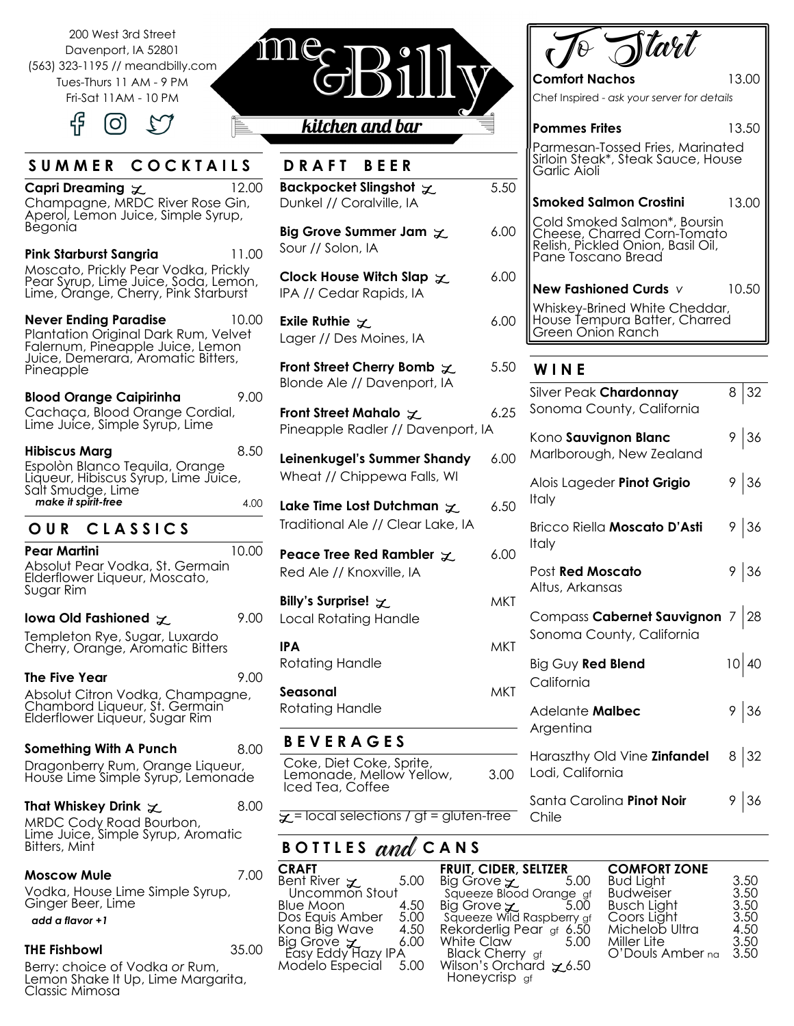200 West 3rd Street Davenport, IA 52801 (563) 323-1195 // meandbilly.com Tues-Thurs 11 AM - 9 PM Fri-Sat 11AM - 10 PM



### SUMMER COCKTAILS

**Capri Dreaming**  $\chi$  12.00 Champagne, MRDC River Rose Gin, Aperol, Lemon Juice, Simple Syrup, Begonia

**Pink Starburst Sangria** 11.00 Moscato, Prickly Pear Vodka, Prickly Pear Syrup, Lime Juice, Soda, Lemon, Lime, Orange, Cherry, Pink Starburst

**Never Ending Paradise** 10.00 Plantation Original Dark Rum, Velvet Falernum, Pineapple Juice, Lemon Juice, Demerara, Aromatic Bitters, Pineapple

**Blood Orange Caipirinha** 9.00 Cachaça, Blood Orange Cordial, Lime Juice, Simple Syrup, Lime

**Hibiscus Marg** 8.50 Espolòn Blanco Tequila, Orange Liqueur, Hibiscus Syrup, Lime Juice, Salt Smudge, Lime *make it spirit-free* 4.00

**OUR CLASSICS** 

**Pear Martini** 10.00 Absolut Pear Vodka, St. Germain Elderflower Liqueur, Moscato, Sugar Rim

| lowa Old Fashioned <sub>X</sub>                                   | 9.00 |
|-------------------------------------------------------------------|------|
| Templeton Rye, Sugar, Luxardo<br>Cherry, Orange, Aromatic Bitters |      |

**The Five Year** 9.00 Absolut Citron Vodka, Champagne, Chambord Liqueur, St. Germain Elderflower Liqueur, Sugar Rim

#### **Something With A Punch** 8.00 Dragonberry Rum, Orange Liqueur, House Lime Simple Syrup, Lemonade

### **That Whiskey Drink**  $\Sigma$  8.00

MRDC Cody Road Bourbon, Lime Juice, Simple Syrup, Aromatic Bitters, Mint

#### **Moscow Mule** 7.00

Vodka, House Lime Simple Syrup, Ginger Beer, Lime *add a flavor +1*

### **THE Fishbowl** 35.00

Berry: choice of Vodka *or* Rum, Lemon Shake It Up, Lime Margarita, Classic Mimosa



## kitchen and bar

**D R A FT B E E R** 

- **Backpocket Slingshot**  $\chi$  5.5 Dunkel // Coralville, IA
- **Big Grove Summer Jam**  $\chi$  6.000 Sour // Solon, IA
- **Clock House Witch Slap**  $\chi$  **6.000** IPA // Cedar Rapids, IA
- **Exile Ruthie**  $\chi$  6.000 Lager // Des Moines, IA
- **Front Street Cherry Bomb**  $\chi$  5.5 Blonde Ale // Davenport, IA
- **Front Street Mahalo**  $\chi$  6.255 Pineapple Radler // Davenport, IA
- **Leinenkugel's Summer Shandy** 6.00 Wheat // Chippewa Falls, WI
- **Lake Time Lost Dutchman**  $\chi$  6.5 Traditional Ale // Clear Lake, IA
- **Peace Tree Red Rambler**  $\times$  6.000 Red Ale // Knoxville, IA
- **B E V E R A G E S Billy's Surprise!**  $\chi$  M Local Rotating Handle **IPA** MKT Rotating Handle **Seasonal** MKT Rotating Handle
	- Coke, Diet Coke, Sprite, Lemonade, Mellow Yellow, Iced Tea, Coffee

 $\chi$  = local selections / gf = gluten-free

# B O T T L E S and C A N S

|            | tart                                                                                                                   |       |
|------------|------------------------------------------------------------------------------------------------------------------------|-------|
|            | <b>Comfort Nachos</b>                                                                                                  | 13.00 |
|            | Chef Inspired - ask your server for details                                                                            |       |
|            | <b>Pommes Frites</b>                                                                                                   | 13.50 |
|            | Parmesan-Tossed Fries, Marinated<br>Sirloin Steak*, Steak Sauce, House<br>Garlic Aioli                                 |       |
| 5.50       | Smoked Salmon Crostini                                                                                                 | 13.00 |
| 6.00       | Cold Smoked Salmon*, Boursin<br>Cheese, Charred Corn-Tomato<br>Relish, Pickled Onion, Basil Oil,<br>Pane Toscano Bread |       |
| 6.00       | <b>New Fashioned Curds</b> v                                                                                           | 10.50 |
| 6.00       | Whiskey-Brined White Cheddar,<br>House Tempura Batter, Charred<br>Green Onion Ranch                                    |       |
| 5.50       | WINE                                                                                                                   |       |
| 6.25       | Silver Peak Chardonnay<br>Sonoma County, California                                                                    | 8 32  |
| 6.00       | Kono Sauvignon Blanc<br>Marlborough, New Zealand                                                                       | 9 36  |
| 6.50       | Alois Lageder Pinot Grigio<br>Italy                                                                                    | 9 36  |
| 6.00       | Bricco Riella <b>Moscato D'Asti</b><br>Italy                                                                           | 9 36  |
|            | Post <b>Red Moscato</b><br>Altus, Arkansas                                                                             | 9 36  |
| MKT        | Compass <b>Cabernet Sauvignon</b> 7 28                                                                                 |       |
| <b>MKT</b> | Sonoma County, California                                                                                              |       |
| <b>MKT</b> | Big Guy Red Blend<br>California                                                                                        | 10 40 |
|            | Adelante Malbec<br>Argentina                                                                                           | 9 36  |
| 3.00       | Haraszthy Old Vine <b>Zinfandel</b><br>Lodi, California                                                                | 8 32  |
| tree       | Santa Carolina Pinot Noir<br>Chile                                                                                     | 9 36  |

| <b>CRAFT</b>       |        | <b>FRUIT, CIDER, SELTZER</b> | <b>COMFORT ZONE</b> |      |
|--------------------|--------|------------------------------|---------------------|------|
| Bent River $\chi$  | - 5.00 | Big Grove $\chi$ 5.00        | Bud Light           | 3.50 |
| Uncommon Stout     |        | Squeeze Blood Orange gf      | Budweiser           | 3.50 |
| Blue Moon          | 4.50   | Big Grove $\chi$ 5.00        | Busch Light         | 3.50 |
| Dos Equis Amber    | 5.00   | Squeeze Wild Raspberry gf    | Coors Light         | 3.50 |
| Kona Big Wave      | 4.50   | Rekorderlig Pear gf 6.50     | Michelob Ultra      | 4.50 |
| Big Grove $\chi$   | 6.00   | White Claw 5.00              | Miller Lite         | 3.50 |
| Easy Eddy Hazy IPA |        | <b>Black Cherry</b> gf       | O'Douls Amber na    | 3.50 |
| Modelo Especial    | 5.00   | Wilson's Orchard $\ge 6.50$  |                     |      |
|                    |        | Honeycrisp gf                |                     |      |